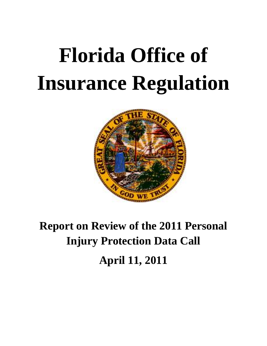# **Florida Office of Insurance Regulation**



# **Report on Review of the 2011 Personal Injury Protection Data Call April 11, 2011**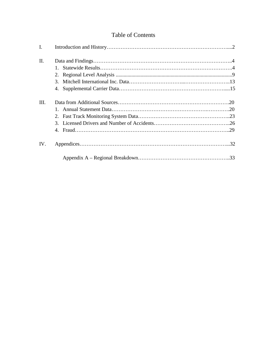### Table of Contents

| I.   |         |  |
|------|---------|--|
| Π.   |         |  |
|      | $1_{-}$ |  |
|      |         |  |
|      |         |  |
|      |         |  |
| III. |         |  |
|      |         |  |
|      |         |  |
|      |         |  |
|      |         |  |
| IV.  |         |  |
|      |         |  |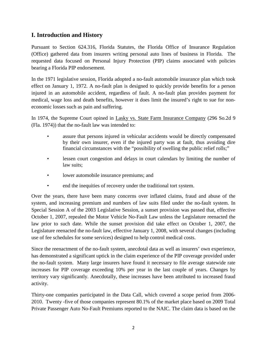#### **I. Introduction and History**

Pursuant to Section 624.316, Florida Statutes, the Florida Office of Insurance Regulation (Office) gathered data from insurers writing personal auto lines of business in Florida. The requested data focused on Personal Injury Protection (PIP) claims associated with policies bearing a Florida PIP endorsement.

In the 1971 legislative session, Florida adopted a no-fault automobile insurance plan which took effect on January 1, 1972. A no-fault plan is designed to quickly provide benefits for a person injured in an automobile accident, regardless of fault. A no-fault plan provides payment for medical, wage loss and death benefits, however it does limit the insured's right to sue for noneconomic losses such as pain and suffering.

In 1974, the Supreme Court opined in Lasky vs. State Farm Insurance Company (296 So.2d 9 (Fla. 1974)) that the no-fault law was intended to:

- assure that persons injured in vehicular accidents would be directly compensated by their own insurer, even if the injured party was at fault, thus avoiding dire financial circumstances with the "possibility of swelling the public relief rolls;"
- lessen court congestion and delays in court calendars by limiting the number of law suits;
- lower automobile insurance premiums; and
- end the inequities of recovery under the traditional tort system.

Over the years, there have been many concerns over inflated claims, fraud and abuse of the system, and increasing premium and numbers of law suits filed under the no-fault system. In Special Session A of the 2003 Legislative Session, a sunset provision was passed that, effective October 1, 2007, repealed the Motor Vehicle No-Fault Law unless the Legislature reenacted the law prior to such date. While the sunset provision did take effect on October 1, 2007, the Legislature reenacted the no-fault law, effective January 1, 2008, with several changes (including use of fee schedules for some services) designed to help control medical costs.

Since the reenactment of the no-fault system, anecdotal data as well as insurers' own experience, has demonstrated a significant uptick in the claim experience of the PIP coverage provided under the no-fault system. Many large insurers have found it necessary to file average statewide rate increases for PIP coverage exceeding 10% per year in the last couple of years. Changes by territory vary significantly. Anecdotally, these increases have been attributed to increased fraud activity.

Thirty-one companies participated in the Data Call, which covered a scope period from 2006- 2010. Twenty -five of those companies represent 80.1% of the market place based on 2009 Total Private Passenger Auto No-Fault Premiums reported to the NAIC. The claim data is based on the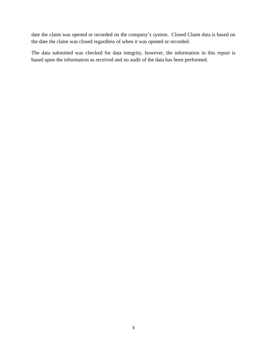date the claim was opened or recorded on the company's system. Closed Claim data is based on the date the claim was closed regardless of when it was opened or recorded.

The data submitted was checked for data integrity, however, the information in this report is based upon the information as received and no audit of the data has been performed.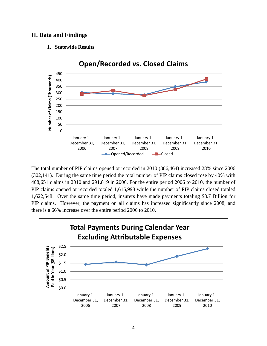#### **II. Data and Findings**

**1. Statewide Results**



The total number of PIP claims opened or recorded in 2010 (386,464) increased 28% since 2006 (302,141). During the same time period the total number of PIP claims closed rose by 40% with 408,651 claims in 2010 and 291,819 in 2006. For the entire period 2006 to 2010, the number of PIP claims opened or recorded totaled 1,615,998 while the number of PIP claims closed totaled 1,622,548. Over the same time period, insurers have made payments totaling \$8.7 Billion for PIP claims. However, the payment on all claims has increased significantly since 2008, and there is a 66% increase over the entire period 2006 to 2010.

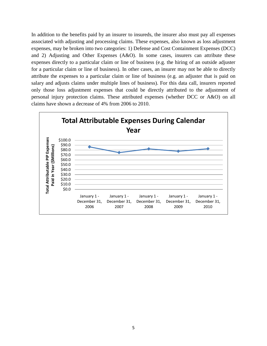In addition to the benefits paid by an insurer to insureds, the insurer also must pay all expenses associated with adjusting and processing claims. These expenses, also known as loss adjustment expenses, may be broken into two categories: 1) Defense and Cost Containment Expenses (DCC) and 2) Adjusting and Other Expenses (A&O). In some cases, insurers can attribute these expenses directly to a particular claim or line of business (e.g. the hiring of an outside adjuster for a particular claim or line of business). In other cases, an insurer may not be able to directly attribute the expenses to a particular claim or line of business (e.g. an adjuster that is paid on salary and adjusts claims under multiple lines of business). For this data call, insurers reported only those loss adjustment expenses that could be directly attributed to the adjustment of personal injury protection claims. These attributed expenses (whether DCC or A&O) on all claims have shown a decrease of 4% from 2006 to 2010.

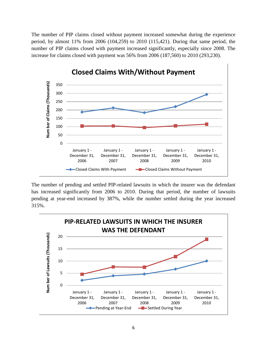The number of PIP claims closed without payment increased somewhat during the experience period, by almost 11% from 2006 (104,259) to 2010 (115,421). During that same period, the number of PIP claims closed with payment increased significantly, especially since 2008. The increase for claims closed with payment was 56% from 2006 (187,560) to 2010 (293,230).



The number of pending and settled PIP-related lawsuits in which the insurer was the defendant has increased significantly from 2006 to 2010. During that period, the number of lawsuits pending at year-end increased by 387%, while the number settled during the year increased 315%.

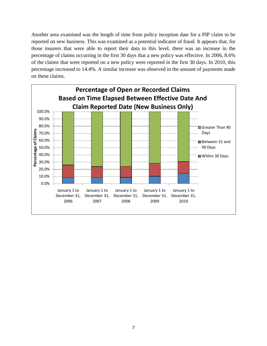Another area examined was the length of time from policy inception date for a PIP claim to be reported on new business. This was examined as a potential indicator of fraud. It appears that, for those insurers that were able to report their data to this level, there was an increase in the percentage of claims occurring in the first 30 days that a new policy was effective. In 2006, 8.6% of the claims that were reported on a new policy were reported in the first 30 days. In 2010, this percentage increased to 14.4%. A similar increase was observed in the amount of payments made on these claims.

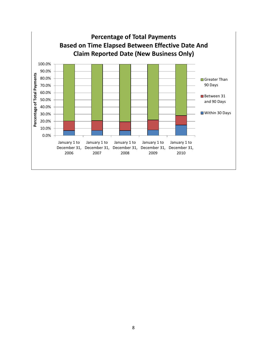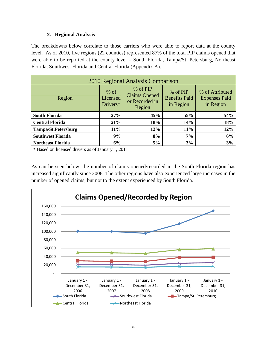#### **2. Regional Analysis**

The breakdowns below correlate to those carriers who were able to report data at the county level. As of 2010, five regions (22 counties) represented 87% of the total PIP claims opened that were able to be reported at the county level – South Florida, Tampa/St. Petersburg, Northeast Florida, Southwest Florida and Central Florida (Appendix A).

| 2010 Regional Analysis Comparison                                                                                                                                                                                 |        |     |     |     |  |  |  |  |  |  |
|-------------------------------------------------------------------------------------------------------------------------------------------------------------------------------------------------------------------|--------|-----|-----|-----|--|--|--|--|--|--|
| % of PIP<br>$%$ of<br>% of PIP<br>% of Attributed<br><b>Claims Opened</b><br><b>Benefits Paid</b><br><b>Expenses Paid</b><br>Region<br>Licensed<br>or Recorded in<br>Drivers*<br>in Region<br>in Region<br>Region |        |     |     |     |  |  |  |  |  |  |
| <b>South Florida</b>                                                                                                                                                                                              | 27%    | 45% | 55% | 54% |  |  |  |  |  |  |
| <b>Central Florida</b>                                                                                                                                                                                            | 21%    | 18% | 14% | 18% |  |  |  |  |  |  |
| <b>Tampa/St.Petersburg</b>                                                                                                                                                                                        | $11\%$ | 12% | 11% | 12% |  |  |  |  |  |  |
| <b>Southwest Florida</b>                                                                                                                                                                                          | 9%     | 8%  | 7%  | 6%  |  |  |  |  |  |  |
| <b>Northeast Florida</b>                                                                                                                                                                                          | 6%     | 5%  | 3%  | 3%  |  |  |  |  |  |  |

\* Based on licensed drivers as of January 1, 2011

As can be seen below, the number of claims opened/recorded in the South Florida region has increased significantly since 2008. The other regions have also experienced large increases in the number of opened claims, but not to the extent experienced by South Florida.

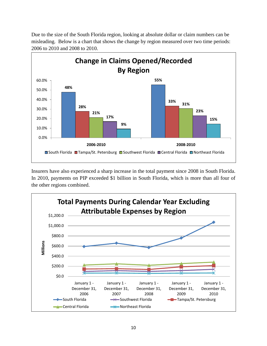Due to the size of the South Florida region, looking at absolute dollar or claim numbers can be misleading. Below is a chart that shows the change by region measured over two time periods: 2006 to 2010 and 2008 to 2010.



Insurers have also experienced a sharp increase in the total payment since 2008 in South Florida. In 2010, payments on PIP exceeded \$1 billion in South Florida, which is more than all four of the other regions combined.

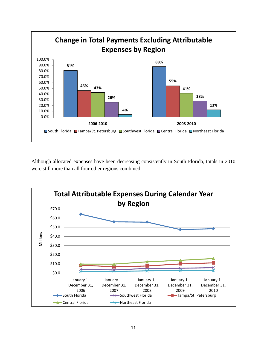

Although allocated expenses have been decreasing consistently in South Florida, totals in 2010 were still more than all four other regions combined.

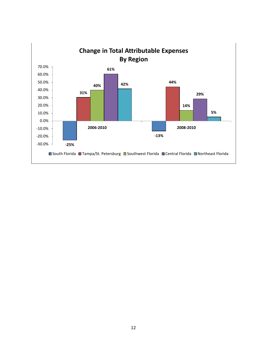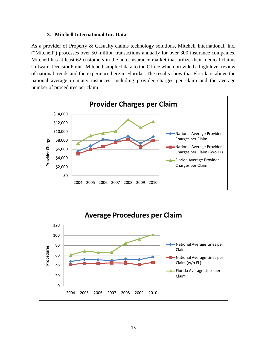#### **3. Mitchell International Inc. Data**

As a provider of Property & Casualty claims technology solutions, Mitchell International, Inc. ("Mitchell") processes over 50 million transactions annually for over 300 insurance companies. Mitchell has at least 62 customers in the auto insurance market that utilize their medical claims software, DecisionPoint. Mitchell supplied data to the Office which provided a high level review of national trends and the experience here in Florida. The results show that Florida is above the national average in many instances, including provider charges per claim and the average number of procedures per claim.



**Provider Charges per Claim**

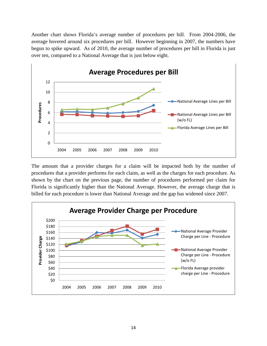Another chart shows Florida's average number of procedures per bill. From 2004-2006, the average hovered around six procedures per bill. However beginning in 2007, the numbers have begun to spike upward. As of 2010, the average number of procedures per bill in Florida is just over ten, compared to a National Average that is just below eight.



The amount that a provider charges for a claim will be impacted both by the number of procedures that a provider performs for each claim, as well as the charges for each procedure. As shown by the chart on the previous page, the number of procedures performed per claim for Florida is significantly higher than the National Average. However, the average charge that is billed for each procedure is lower than National Average and the gap has widened since 2007.

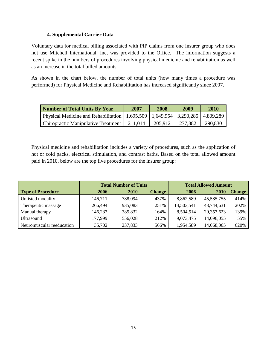#### **4. Supplemental Carrier Data**

Voluntary data for medical billing associated with PIP claims from one insurer group who does not use Mitchell International, Inc, was provided to the Office. The information suggests a recent spike in the numbers of procedures involving physical medicine and rehabilitation as well as an increase in the total billed amounts.

As shown in the chart below, the number of total units (how many times a procedure was performed) for Physical Medicine and Rehabilitation has increased significantly since 2007.

| <b>Number of Total Units By Year</b>                                                 | 2007    | 2008    | 2009    | <b>2010</b> |
|--------------------------------------------------------------------------------------|---------|---------|---------|-------------|
| Physical Medicine and Rehabilitation   1,695,509   1,649,954   3,290,285   4,809,289 |         |         |         |             |
| Chiropractic Manipulative Treatment                                                  | 211.014 | 205.912 | 277.882 | 290,830     |

Physical medicine and rehabilitation includes a variety of procedures, such as the application of hot or cold packs, electrical stimulation, and contrast baths. Based on the total allowed amount paid in 2010, below are the top five procedures for the insurer group:

|                           | <b>Total Number of Units</b> |             |               | <b>Total Allowed Amount</b> |             |               |  |
|---------------------------|------------------------------|-------------|---------------|-----------------------------|-------------|---------------|--|
| <b>Type of Procedure</b>  | 2006                         | <b>2010</b> | <b>Change</b> | 2006                        | <b>2010</b> | <b>Change</b> |  |
| Unlisted modality         | 146,711                      | 788,094     | 437%          | 8,862,589                   | 45,585,755  | 414%          |  |
| Therapeutic massage       | 266,494                      | 935,083     | 251%          | 14,503,541                  | 43,744,631  | 202%          |  |
| Manual therapy            | 146,237                      | 385,832     | 164%          | 8,504,514                   | 20,357,623  | 139%          |  |
| Ultrasound                | 177,999                      | 556,028     | 212%          | 9,073,475                   | 14,096,055  | 55%           |  |
| Neuromuscular reeducation | 35,702                       | 237,833     | 566%          | 1,954,589                   | 14,068,065  | 620%          |  |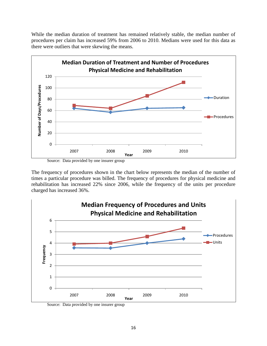While the median duration of treatment has remained relatively stable, the median number of procedures per claim has increased 59% from 2006 to 2010. Medians were used for this data as there were outliers that were skewing the means.



Source: Data provided by one insurer group

The frequency of procedures shown in the chart below represents the median of the number of times a particular procedure was billed. The frequency of procedures for physical medicine and rehabilitation has increased 22% since 2006, while the frequency of the units per procedure charged has increased 36%.



Source: Data provided by one insurer group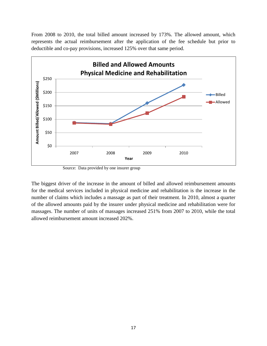From 2008 to 2010, the total billed amount increased by 173%. The allowed amount, which represents the actual reimbursement after the application of the fee schedule but prior to deductible and co-pay provisions, increased 125% over that same period.



Source: Data provided by one insurer group

The biggest driver of the increase in the amount of billed and allowed reimbursement amounts for the medical services included in physical medicine and rehabilitation is the increase in the number of claims which includes a massage as part of their treatment. In 2010, almost a quarter of the allowed amounts paid by the insurer under physical medicine and rehabilitation were for massages. The number of units of massages increased 251% from 2007 to 2010, while the total allowed reimbursement amount increased 202%.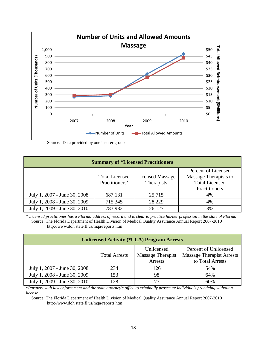

Source: Data provided by one insurer group

| <b>Summary of *Licensed Practitioners</b> |                       |                         |                       |  |  |  |  |  |  |  |
|-------------------------------------------|-----------------------|-------------------------|-----------------------|--|--|--|--|--|--|--|
| Percent of Licensed                       |                       |                         |                       |  |  |  |  |  |  |  |
|                                           | <b>Total Licensed</b> | <b>Licensed Massage</b> | Massage Therapists to |  |  |  |  |  |  |  |
|                                           | Practitioners'        | Therapists              | <b>Total Licensed</b> |  |  |  |  |  |  |  |
|                                           |                       |                         | Practitioners         |  |  |  |  |  |  |  |
| July 1, 2007 - June 30, 2008              | 687,131               | 25,715                  | 4%                    |  |  |  |  |  |  |  |
| July 1, 2008 - June 30, 2009              | 715,345               | 28,229                  | 4%                    |  |  |  |  |  |  |  |
| July 1, 2009 - June 30, 2010              | 783,932               | 26,127                  | 3%                    |  |  |  |  |  |  |  |

*\* Licensed practitioner has a Florida address of record and is clear to practice his/her profession in the state of Florida* Source: The Florida Department of Health Division of Medical Quality Assurance Annual Report 2007-2010 http://www.doh.state.fl.us/mqa/reports.htm

| <b>Unlicensed Activity (*ULA) Program Arrests</b> |                      |                                            |                                                                               |  |  |  |  |  |  |  |
|---------------------------------------------------|----------------------|--------------------------------------------|-------------------------------------------------------------------------------|--|--|--|--|--|--|--|
|                                                   | <b>Total Arrests</b> | Unlicensed<br>Massage Therapist<br>Arrests | Percent of Unlicensed<br><b>Massage Therapist Arrests</b><br>to Total Arrests |  |  |  |  |  |  |  |
| July 1, 2007 - June 30, 2008                      | 234                  | 126                                        | 54%                                                                           |  |  |  |  |  |  |  |
| July 1, 2008 - June 30, 2009                      | 153                  | 98                                         | 64%                                                                           |  |  |  |  |  |  |  |
| July 1, 2009 - June 30, 2010                      | 128                  | 77                                         | 60%                                                                           |  |  |  |  |  |  |  |

*\*Partners with law enforcement and the state attorney's office to criminally prosecute individuals practicing without a license*

Source: The Florida Department of Health Division of Medical Quality Assurance Annual Report 2007-2010 http://www.doh.state.fl.us/mqa/reports.htm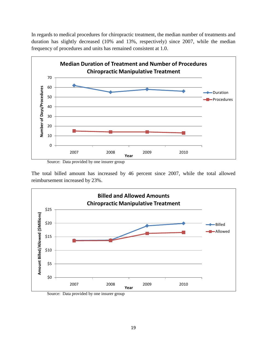In regards to medical procedures for chiropractic treatment, the median number of treatments and duration has slightly decreased (10% and 13%, respectively) since 2007, while the median frequency of procedures and units has remained consistent at 1.0.



The total billed amount has increased by 46 percent since 2007, while the total allowed reimbursement increased by 23%.



Source: Data provided by one insurer group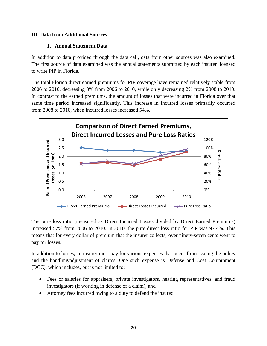#### **III. Data from Additional Sources**

#### **1. Annual Statement Data**

In addition to data provided through the data call, data from other sources was also examined. The first source of data examined was the annual statements submitted by each insurer licensed to write PIP in Florida.

The total Florida direct earned premiums for PIP coverage have remained relatively stable from 2006 to 2010, decreasing 8% from 2006 to 2010, while only decreasing 2% from 2008 to 2010. In contrast to the earned premiums, the amount of losses that were incurred in Florida over that same time period increased significantly. This increase in incurred losses primarily occurred from 2008 to 2010, when incurred losses increased 54%.



The pure loss ratio (measured as Direct Incurred Losses divided by Direct Earned Premiums) increased 57% from 2006 to 2010. In 2010, the pure direct loss ratio for PIP was 97.4%. This means that for every dollar of premium that the insurer collects; over ninety-seven cents went to pay for losses.

In addition to losses, an insurer must pay for various expenses that occur from issuing the policy and the handling/adjustment of claims. One such expense is Defense and Cost Containment (DCC), which includes, but is not limited to:

- Fees or salaries for appraisers, private investigators, hearing representatives, and fraud investigators (if working in defense of a claim), and
- Attorney fees incurred owing to a duty to defend the insured.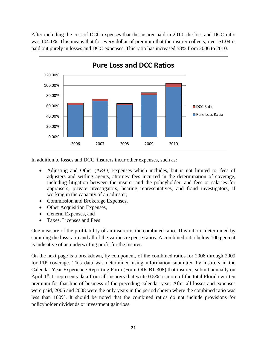After including the cost of DCC expenses that the insurer paid in 2010, the loss and DCC ratio was 104.1%. This means that for every dollar of premium that the insurer collects; over \$1.04 is paid out purely in losses and DCC expenses. This ratio has increased 58% from 2006 to 2010.



In addition to losses and DCC, insurers incur other expenses, such as:

- Adjusting and Other (A&O) Expenses which includes, but is not limited to, fees of adjusters and settling agents, attorney fees incurred in the determination of coverage, including litigation between the insurer and the policyholder, and fees or salaries for appraisers, private investigators, hearing representatives, and fraud investigators, if working in the capacity of an adjuster,
- Commission and Brokerage Expenses,
- Other Acquisition Expenses,
- General Expenses, and
- Taxes, Licenses and Fees

One measure of the profitability of an insurer is the combined ratio. This ratio is determined by summing the loss ratio and all of the various expense ratios. A combined ratio below 100 percent is indicative of an underwriting profit for the insurer.

On the next page is a breakdown, by component, of the combined ratios for 2006 through 2009 for PIP coverage. This data was determined using information submitted by insurers in the Calendar Year Experience Reporting Form (Form OIR-B1-308) that insurers submit annually on April  $1<sup>st</sup>$ . It represents data from all insurers that write 0.5% or more of the total Florida written premium for that line of business of the preceding calendar year. After all losses and expenses were paid, 2006 and 2008 were the only years in the period shown where the combined ratio was less than 100%. It should be noted that the combined ratios do not include provisions for policyholder dividends or investment gain/loss.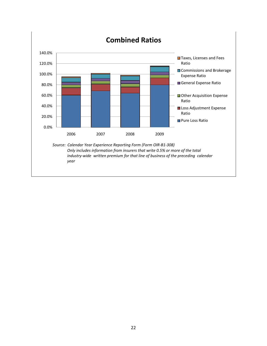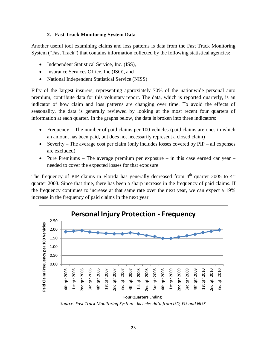#### **2. Fast Track Monitoring System Data**

Another useful tool examining claims and loss patterns is data from the Fast Track Monitoring System ("Fast Track") that contains information collected by the following statistical agencies:

- Independent Statistical Service, Inc. (ISS),
- Insurance Services Office, Inc. (ISO), and
- National Independent Statistical Service (NISS)

Fifty of the largest insurers, representing approxiately 70% of the nationwide personal auto premium, contribute data for this voluntary report. The data, which is reported quarterly, is an indicator of how claim and loss patterns are changing over time. To avoid the effects of seasonality, the data is generally reviewed by looking at the most recent four quarters of information at each quarter. In the graphs below, the data is broken into three indicators:

- Frequency The number of paid claims per 100 vehicles (paid claims are ones in which an amount has been paid, but does not necessarily represent a closed claim)
- Severity The average cost per claim (only includes losses covered by PIP all expenses are excluded)
- Pure Premiums The average premium per exposure in this case earned car year needed to cover the expected losses for that exposure

The frequency of PIP claims in Florida has generally decreased from  $4<sup>th</sup>$  quarter 2005 to  $4<sup>th</sup>$ quarter 2008. Since that time, there has been a sharp increase in the frequency of paid claims. If the frequency continues to increase at that same rate over the next year, we can expect a 19% increase in the frequency of paid claims in the next year.

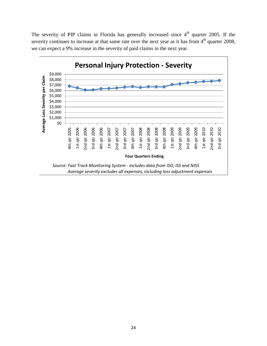The severity of PIP claims in Florida has generally increased since  $4<sup>th</sup>$  quarter 2005. If the severity continues to increase at that same rate over the next year as it has from  $4<sup>th</sup>$  quarter 2008, we can expect a 9% increase in the severity of paid claims in the next year.

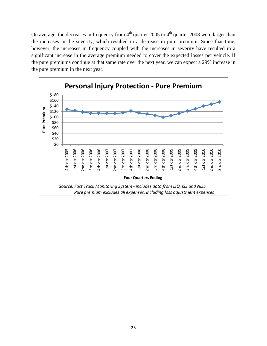On average, the decreases in frequency from  $4<sup>th</sup>$  quarter 2005 to  $4<sup>th</sup>$  quarter 2008 were larger than the increases in the severity, which resulted in a decrease in pure premium. Since that time, however, the increases in frequency coupled with the increases in severity have resulted in a significant increase in the average premium needed to cover the expected losses per vehicle. If the pure premiums continue at that same rate over the next year, we can expect a 29% increase in the pure premium in the next year.

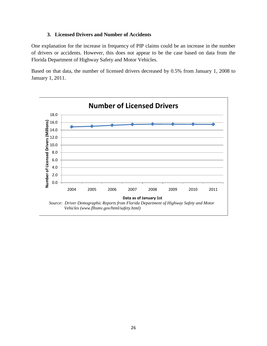#### **3. Licensed Drivers and Number of Accidents**

One explanation for the increase in frequency of PIP claims could be an increase in the number of drivers or accidents. However, this does not appear to be the case based on data from the Florida Department of Highway Safety and Motor Vehicles.

Based on that data, the number of licensed drivers decreased by 0.5% from January 1, 2008 to January 1, 2011.

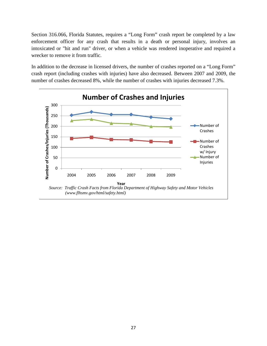Section 316.066, Florida Statutes, requires a "Long Form" crash report be completed by a law enforcement officer for any crash that results in a death or personal injury, involves an intoxicated or "hit and run" driver, or when a vehicle was rendered inoperative and required a wrecker to remove it from traffic.

In addition to the decrease in licensed drivers, the number of crashes reported on a "Long Form" crash report (including crashes with injuries) have also decreased. Between 2007 and 2009, the number of crashes decreased 8%, while the number of crashes with injuries decreased 7.3%.

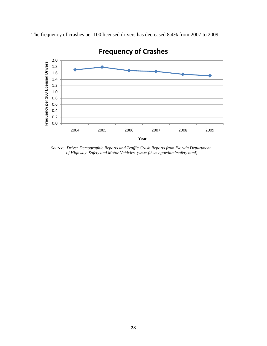

The frequency of crashes per 100 licensed drivers has decreased 8.4% from 2007 to 2009.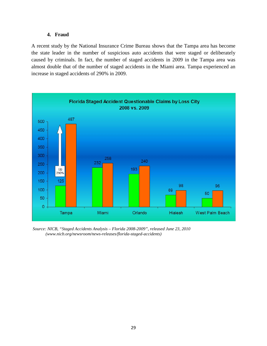#### **4. Fraud**

A recent study by the National Insurance Crime Bureau shows that the Tampa area has become the state leader in the number of suspicious auto accidents that were staged or deliberately caused by criminals. In fact, the number of staged accidents in 2009 in the Tampa area was almost double that of the number of staged accidents in the Miami area. Tampa experienced an increase in staged accidents of 290% in 2009.



*Source: NICB, "Staged Accidents Analysis – Florida 2008-2009", released June 23, 2010 (www.nicb.org/newsroom/news-releases/florida-staged-accidents)*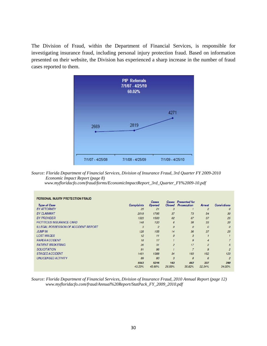The Division of Fraud, within the Department of Financial Services, is responsible for investigating insurance fraud, including personal injury protection fraud. Based on information presented on their website, the Division has experienced a sharp increase in the number of fraud cases reported to them.



*Source: Florida Department of Financial Services, Division of Insurance Fraud, 3rd Quarter FY 2009-2010 Economic Impact Report (page 8)* 

 *www.myfloridacfo.com/fraud/forms/EconomicImpactReport\_3rd\_Quarter\_FY%2009-10.pdf*

| PERSONAL INJURY PROTECTION FRAUD             |                   |                               |                        |                                            |                  |                    |
|----------------------------------------------|-------------------|-------------------------------|------------------------|--------------------------------------------|------------------|--------------------|
| <b>Type of Case</b>                          | <b>Complaints</b> | <b>Cases</b><br><b>Opened</b> | Cases<br><b>Closed</b> | <b>Presented for</b><br><b>Prosecution</b> | <b>Arrest</b>    | <b>Convictions</b> |
| <b>BY ATTORNEY</b>                           | 25                | 21                            | 3                      |                                            | $\overline{c}$   | $\mathcal O$       |
| <b>BY CLAIMANT</b>                           | 2019              | 1795                          | 37                     | 73                                         | 54               | 30                 |
| <b>BY PROVIDER</b>                           | 1523              | 1500                          | 62                     | 67                                         | 37               | 25                 |
| <b>FICTITIOUS INSURANCE CARD</b>             | 148               | 120                           | 6                      | 38                                         | 33               | 20                 |
| <b>ILLEGAL POSSESSION OF ACCIDENT REPORT</b> | 3                 | $\overline{2}$                | $\mathcal{O}$          | $\overline{0}$                             | $\boldsymbol{0}$ | $\Omega$           |
| <b>JUMP IN</b>                               | 128               | 155                           | 14                     | 36                                         | 37               | 25                 |
| <b>LOST WAGES</b>                            | 12                | 11                            | $\mathcal{O}$          | 3                                          |                  |                    |
| <b>PAPER ACCIDENT</b>                        | 18                | 17                            |                        | 9                                          | $\overline{4}$   |                    |
| <b>PATIENT BROKERING</b>                     | 26                | 31                            | $\overline{2}$         | 17                                         | $\overline{2}$   | 5                  |
| <b>SOLICITATION</b>                          | 91                | 96                            |                        | $\overline{z}$                             | $\mathcal{G}$    | $\overline{c}$     |
| <b>STAGED ACCIDENT</b>                       | 1461              | 1388                          | 34                     | 183                                        | 152              | 123                |
| <b>UNLICENSED ACTIVITY</b>                   | 89                | 80                            | 3                      | 8                                          | 6                | $\overline{2}$     |
|                                              | 5543              | 5216                          | 163                    | 442                                        | 337              | 240                |
|                                              | 43.23%            | 43.80%                        | 26.59%                 | 35.82%                                     | 32.34%           | 34.00%             |

*Source: Florida Department of Financial Services, Division of Insurance Fraud, 2010 Annual Report (page 12) www.myfloridacfo.com/fraud/Annual%20Report/StatPack\_FY\_2009\_2010.pdf*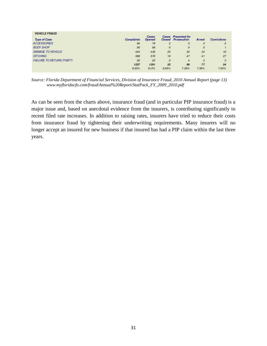| <b>VEHICLE FRAUD</b>             |                   |                        |                |                                                         |        |                    |
|----------------------------------|-------------------|------------------------|----------------|---------------------------------------------------------|--------|--------------------|
| <b>Type of Case</b>              | <b>Complaints</b> | Cases<br><b>Opened</b> |                | <b>Cases Presented</b> for<br><b>Closed</b> Prosecution | Arrest | <b>Convictions</b> |
| <b>ACCESSORIES</b>               | 84                | 79                     | $\overline{2}$ | 3                                                       | 4      | 5                  |
| <b>BODY SHOP</b>                 | 95                | 88                     | 6              | 6                                                       | 5      |                    |
| <b>DAMAGE TO VEHICLE</b>         | 444               | 436                    | 25             | 30                                                      | 24     | 18                 |
| <b>DITCHING</b>                  | 588               | 578                    | 19             | 47                                                      | 41     | 27                 |
| <b>FAILURE TO RETURN (THEFT)</b> | 26                | 20                     | $\overline{O}$ | 4                                                       | 3      | 3                  |
|                                  | 1237              | 1201                   | 52             | 90                                                      | 77     | 54                 |
|                                  | 9.65%             | 10.0%                  | 8.48%          | 7.29%                                                   | 7.38%  | 7.65%              |

*Source: Florida Department of Financial Services, Division of Insurance Fraud, 2010 Annual Report (page 13) www.myfloridacfo.com/fraud/Annual%20Report/StatPack\_FY\_2009\_2010.pdf*

As can be seen from the charts above, insurance fraud (and in particular PIP insurance fraud) is a major issue and, based on anecdotal evidence from the insurers, is contributing significantly to recent filed rate increases. In addition to raising rates, insurers have tried to reduce their costs from insurance fraud by tightening their underwriting requirements. Many insurers will no longer accept an insured for new business if that insured has had a PIP claim within the last three years.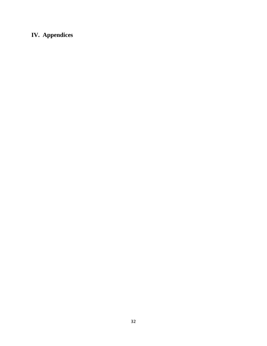# **IV. Appendices**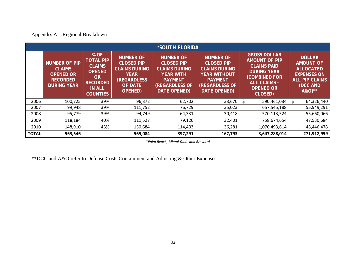## Appendix A – Regional Breakdown

|              |                                                                                                    |                                                                                                                         |                                                                                                                                        | <b>*SOUTH FLORIDA</b>                                                                                                                        |                                                                                                                                                        |                                                                                                                                                                       |                                                                                                                            |  |  |  |  |
|--------------|----------------------------------------------------------------------------------------------------|-------------------------------------------------------------------------------------------------------------------------|----------------------------------------------------------------------------------------------------------------------------------------|----------------------------------------------------------------------------------------------------------------------------------------------|--------------------------------------------------------------------------------------------------------------------------------------------------------|-----------------------------------------------------------------------------------------------------------------------------------------------------------------------|----------------------------------------------------------------------------------------------------------------------------|--|--|--|--|
|              | <b>NUMBER OF PIP</b><br><b>CLAIMS</b><br><b>OPENED OR</b><br><b>RECORDED</b><br><b>DURING YEAR</b> | % OF<br><b>TOTAL PIP</b><br><b>CLAIMS</b><br><b>OPENED</b><br>OR<br><b>RECORDED</b><br><b>IN ALL</b><br><b>COUNTIES</b> | <b>NUMBER OF</b><br><b>CLOSED PIP</b><br><b>CLAIMS DURING</b><br><b>YEAR</b><br><b>(REGARDLESS</b><br><b>OF DATE</b><br><b>OPENED)</b> | <b>NUMBER OF</b><br><b>CLOSED PIP</b><br><b>CLAIMS DURING</b><br><b>YEAR WITH</b><br><b>PAYMENT</b><br><b>(REGARDLESS OF</b><br>DATE OPENED) | <b>NUMBER OF</b><br><b>CLOSED PIP</b><br><b>CLAIMS DURING</b><br><b>YEAR WITHOUT</b><br><b>PAYMENT</b><br><b>(REGARDLESS OF</b><br><b>DATE OPENED)</b> | <b>GROSS DOLLAR</b><br><b>AMOUNT OF PIP</b><br><b>CLAIMS PAID</b><br><b>DURING YEAR</b><br><b>(COMBINED FOR</b><br><b>ALL CLAIMS -</b><br><b>OPENED OR</b><br>CLOSED) | <b>DOLLAR</b><br><b>AMOUNT OF</b><br><b>ALLOCATED</b><br><b>EXPENSES ON</b><br><b>ALL PIP CLAIMS</b><br>(DCC AND<br>A&O)** |  |  |  |  |
| 2006         | 100,725                                                                                            | 39%                                                                                                                     | 96,372                                                                                                                                 | 62,702                                                                                                                                       | 33,670                                                                                                                                                 | Ś<br>590,461,034                                                                                                                                                      | \$<br>64,326,440                                                                                                           |  |  |  |  |
| 2007         | 99,948                                                                                             | 39%                                                                                                                     | 111,752                                                                                                                                | 76,729                                                                                                                                       | 35,023                                                                                                                                                 | 657,545,188                                                                                                                                                           | 55,949,291                                                                                                                 |  |  |  |  |
| 2008         | 95,779                                                                                             | 39%                                                                                                                     | 94,749                                                                                                                                 | 64,331                                                                                                                                       | 30,418                                                                                                                                                 | 570,113,524                                                                                                                                                           | 55,660,066                                                                                                                 |  |  |  |  |
| 2009         | 118,184                                                                                            | 40%                                                                                                                     | 111,527                                                                                                                                | 79,126                                                                                                                                       | 32,401                                                                                                                                                 | 758,674,654                                                                                                                                                           | 47,530,684                                                                                                                 |  |  |  |  |
| 2010         | 148,910                                                                                            | 45%                                                                                                                     | 150,684                                                                                                                                | 114,403                                                                                                                                      | 36,281                                                                                                                                                 | 1,070,493,614                                                                                                                                                         | 48,446,478                                                                                                                 |  |  |  |  |
| <b>TOTAL</b> | 563,546                                                                                            |                                                                                                                         | 565,084                                                                                                                                | 397,291                                                                                                                                      | 167,793                                                                                                                                                | 3,647,288,014                                                                                                                                                         | 271,912,959                                                                                                                |  |  |  |  |
|              | *Palm Beach, Miami-Dade and Broward                                                                |                                                                                                                         |                                                                                                                                        |                                                                                                                                              |                                                                                                                                                        |                                                                                                                                                                       |                                                                                                                            |  |  |  |  |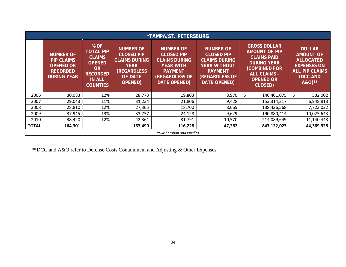|              |                                                                                                    |                                                                                                                                |                                                                                                                                        | *TAMPA/ST. PETERSBURG                                                                                                                        |                                                                                                                                                        |                                                                                                                                                                       |                                                                                                                            |  |  |  |  |
|--------------|----------------------------------------------------------------------------------------------------|--------------------------------------------------------------------------------------------------------------------------------|----------------------------------------------------------------------------------------------------------------------------------------|----------------------------------------------------------------------------------------------------------------------------------------------|--------------------------------------------------------------------------------------------------------------------------------------------------------|-----------------------------------------------------------------------------------------------------------------------------------------------------------------------|----------------------------------------------------------------------------------------------------------------------------|--|--|--|--|
|              | <b>NUMBER OF</b><br><b>PIP CLAIMS</b><br><b>OPENED OR</b><br><b>RECORDED</b><br><b>DURING YEAR</b> | % OF<br><b>TOTAL PIP</b><br><b>CLAIMS</b><br><b>OPENED</b><br><b>OR</b><br><b>RECORDED</b><br><b>IN ALL</b><br><b>COUNTIES</b> | <b>NUMBER OF</b><br><b>CLOSED PIP</b><br><b>CLAIMS DURING</b><br><b>YEAR</b><br><b>(REGARDLESS</b><br><b>OF DATE</b><br><b>OPENED)</b> | <b>NUMBER OF</b><br><b>CLOSED PIP</b><br><b>CLAIMS DURING</b><br><b>YEAR WITH</b><br><b>PAYMENT</b><br><b>(REGARDLESS OF</b><br>DATE OPENED) | <b>NUMBER OF</b><br><b>CLOSED PIP</b><br><b>CLAIMS DURING</b><br><b>YEAR WITHOUT</b><br><b>PAYMENT</b><br><b>(REGARDLESS OF</b><br><b>DATE OPENED)</b> | <b>GROSS DOLLAR</b><br><b>AMOUNT OF PIP</b><br><b>CLAIMS PAID</b><br><b>DURING YEAR</b><br><b>(COMBINED FOR</b><br><b>ALL CLAIMS -</b><br><b>OPENED OR</b><br>CLOSED) | <b>DOLLAR</b><br><b>AMOUNT OF</b><br><b>ALLOCATED</b><br><b>EXPENSES ON</b><br><b>ALL PIP CLAIMS</b><br>(DCC AND<br>A&O)** |  |  |  |  |
| 2006         | 30,083                                                                                             | 12%                                                                                                                            | 28,773                                                                                                                                 | 19,803                                                                                                                                       | 8,970                                                                                                                                                  | \$<br>146,401,075                                                                                                                                                     | \$<br>532,002                                                                                                              |  |  |  |  |
| 2007         | 29,043                                                                                             | 11%                                                                                                                            | 31,234                                                                                                                                 | 21,806                                                                                                                                       | 9,428                                                                                                                                                  | 153,314,317                                                                                                                                                           | 6,948,813                                                                                                                  |  |  |  |  |
| 2008         | 28,810                                                                                             | 12%                                                                                                                            | 27,365                                                                                                                                 | 18,700                                                                                                                                       | 8,665                                                                                                                                                  | 138,436,568                                                                                                                                                           | 7,723,022                                                                                                                  |  |  |  |  |
| 2009         | 37,945                                                                                             | 13%                                                                                                                            | 33,757                                                                                                                                 | 24,128                                                                                                                                       | 9,629                                                                                                                                                  | 190,880,414                                                                                                                                                           | 10,025,643                                                                                                                 |  |  |  |  |
| 2010         | 38,420                                                                                             | 12%                                                                                                                            | 42,361                                                                                                                                 | 31,791                                                                                                                                       | 10,570                                                                                                                                                 | 214,089,649                                                                                                                                                           | 11,140,448                                                                                                                 |  |  |  |  |
| <b>TOTAL</b> | 164,301                                                                                            |                                                                                                                                | 163,490                                                                                                                                | 116,228                                                                                                                                      | 47,262                                                                                                                                                 | 843,122,023                                                                                                                                                           | 44,369,928                                                                                                                 |  |  |  |  |
|              | *Hillsborough and Pinellas                                                                         |                                                                                                                                |                                                                                                                                        |                                                                                                                                              |                                                                                                                                                        |                                                                                                                                                                       |                                                                                                                            |  |  |  |  |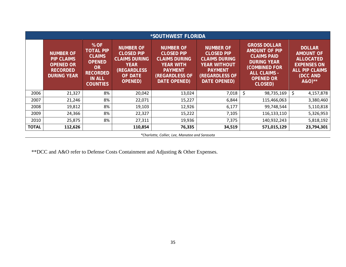|              | *SOUTHWEST FLORIDA                                                                                 |                                                                                                                                |                                                                                                                                         |                                                                                                                                              |                                                                                                                                                        |                                                                                                                                                                       |                                                                                                                            |  |  |  |  |  |
|--------------|----------------------------------------------------------------------------------------------------|--------------------------------------------------------------------------------------------------------------------------------|-----------------------------------------------------------------------------------------------------------------------------------------|----------------------------------------------------------------------------------------------------------------------------------------------|--------------------------------------------------------------------------------------------------------------------------------------------------------|-----------------------------------------------------------------------------------------------------------------------------------------------------------------------|----------------------------------------------------------------------------------------------------------------------------|--|--|--|--|--|
|              | <b>NUMBER OF</b><br><b>PIP CLAIMS</b><br><b>OPENED OR</b><br><b>RECORDED</b><br><b>DURING YEAR</b> | % OF<br><b>TOTAL PIP</b><br><b>CLAIMS</b><br><b>OPENED</b><br><b>OR</b><br><b>RECORDED</b><br><b>IN ALL</b><br><b>COUNTIES</b> | <b>NUMBER OF</b><br><b>CLOSED PIP</b><br><b>CLAIMS DURING</b><br><b>YEAR</b><br><b>(REGARDLESS)</b><br><b>OF DATE</b><br><b>OPENED)</b> | <b>NUMBER OF</b><br><b>CLOSED PIP</b><br><b>CLAIMS DURING</b><br><b>YEAR WITH</b><br><b>PAYMENT</b><br>(REGARDLESS OF<br><b>DATE OPENED)</b> | <b>NUMBER OF</b><br><b>CLOSED PIP</b><br><b>CLAIMS DURING</b><br><b>YEAR WITHOUT</b><br><b>PAYMENT</b><br><b>(REGARDLESS OF</b><br><b>DATE OPENED)</b> | <b>GROSS DOLLAR</b><br><b>AMOUNT OF PIP</b><br><b>CLAIMS PAID</b><br><b>DURING YEAR</b><br><b>(COMBINED FOR</b><br><b>ALL CLAIMS -</b><br><b>OPENED OR</b><br>CLOSED) | <b>DOLLAR</b><br><b>AMOUNT OF</b><br><b>ALLOCATED</b><br><b>EXPENSES ON</b><br><b>ALL PIP CLAIMS</b><br>(DCC AND<br>A&O)** |  |  |  |  |  |
| 2006         | 21,327                                                                                             | 8%                                                                                                                             | 20,042                                                                                                                                  | 13,024                                                                                                                                       | 7,018                                                                                                                                                  | \$<br>98,735,169                                                                                                                                                      | \$.<br>4,157,878                                                                                                           |  |  |  |  |  |
| 2007         | 21,246                                                                                             | 8%                                                                                                                             | 22,071                                                                                                                                  | 15,227                                                                                                                                       | 6,844                                                                                                                                                  | 115,466,063                                                                                                                                                           | 3,380,460                                                                                                                  |  |  |  |  |  |
| 2008         | 19,812                                                                                             | 8%                                                                                                                             | 19,103                                                                                                                                  | 12,926                                                                                                                                       | 6,177                                                                                                                                                  | 99,748,544                                                                                                                                                            | 5,110,818                                                                                                                  |  |  |  |  |  |
| 2009         | 24,366                                                                                             | 8%                                                                                                                             | 22,327                                                                                                                                  | 15,222                                                                                                                                       | 7,105                                                                                                                                                  | 116,133,110                                                                                                                                                           | 5,326,953                                                                                                                  |  |  |  |  |  |
| 2010         | 25,875                                                                                             | 8%                                                                                                                             | 27,311                                                                                                                                  | 19,936                                                                                                                                       | 7,375                                                                                                                                                  | 140,932,243                                                                                                                                                           | 5,818,192                                                                                                                  |  |  |  |  |  |
| <b>TOTAL</b> | 112,626                                                                                            |                                                                                                                                | 110,854                                                                                                                                 | 76,335                                                                                                                                       | 34,519                                                                                                                                                 | 571,015,129                                                                                                                                                           | 23,794,301                                                                                                                 |  |  |  |  |  |
|              | *Charlotte, Collier, Lee, Manatee and Sarasota                                                     |                                                                                                                                |                                                                                                                                         |                                                                                                                                              |                                                                                                                                                        |                                                                                                                                                                       |                                                                                                                            |  |  |  |  |  |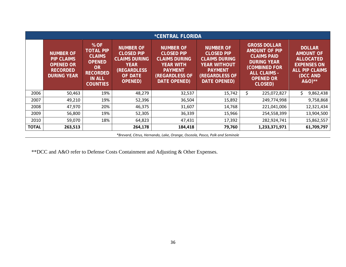|              | <i><b>*CENTRAL FLORIDA</b></i>                                                                     |                                                                                                                          |                                                                                                                                 |                                                                                                                                              |                                                                                                                                                        |                                                                                                                                                                |                                                                                                                            |  |  |  |  |  |
|--------------|----------------------------------------------------------------------------------------------------|--------------------------------------------------------------------------------------------------------------------------|---------------------------------------------------------------------------------------------------------------------------------|----------------------------------------------------------------------------------------------------------------------------------------------|--------------------------------------------------------------------------------------------------------------------------------------------------------|----------------------------------------------------------------------------------------------------------------------------------------------------------------|----------------------------------------------------------------------------------------------------------------------------|--|--|--|--|--|
|              | <b>NUMBER OF</b><br><b>PIP CLAIMS</b><br><b>OPENED OR</b><br><b>RECORDED</b><br><b>DURING YEAR</b> | % OF<br><b>TOTAL PIP</b><br><b>CLAIMS</b><br><b>OPENED</b><br>OR.<br><b>RECORDED</b><br><b>IN ALL</b><br><b>COUNTIES</b> | <b>NUMBER OF</b><br><b>CLOSED PIP</b><br><b>CLAIMS DURING</b><br><b>YEAR</b><br>(REGARDLESS<br><b>OF DATE</b><br><b>OPENED)</b> | <b>NUMBER OF</b><br><b>CLOSED PIP</b><br><b>CLAIMS DURING</b><br><b>YEAR WITH</b><br><b>PAYMENT</b><br>(REGARDLESS OF<br><b>DATE OPENED)</b> | <b>NUMBER OF</b><br><b>CLOSED PIP</b><br><b>CLAIMS DURING</b><br><b>YEAR WITHOUT</b><br><b>PAYMENT</b><br><b>(REGARDLESS OF</b><br><b>DATE OPENED)</b> | <b>GROSS DOLLAR</b><br><b>AMOUNT OF PIP</b><br><b>CLAIMS PAID</b><br><b>DURING YEAR</b><br>(COMBINED FOR<br><b>ALL CLAIMS -</b><br><b>OPENED OR</b><br>CLOSED) | <b>DOLLAR</b><br><b>AMOUNT OF</b><br><b>ALLOCATED</b><br><b>EXPENSES ON</b><br><b>ALL PIP CLAIMS</b><br>(DCC AND<br>A&O)** |  |  |  |  |  |
| 2006         | 50,463                                                                                             | 19%                                                                                                                      | 48,279                                                                                                                          | 32,537                                                                                                                                       | 15,742                                                                                                                                                 | \$<br>225,072,827                                                                                                                                              | \$.<br>9,862,438                                                                                                           |  |  |  |  |  |
| 2007         | 49,210                                                                                             | 19%                                                                                                                      | 52,396                                                                                                                          | 36,504                                                                                                                                       | 15,892                                                                                                                                                 | 249,774,998                                                                                                                                                    | 9,758,868                                                                                                                  |  |  |  |  |  |
| 2008         | 47,970                                                                                             | 20%                                                                                                                      | 46,375                                                                                                                          | 31,607                                                                                                                                       | 14,768                                                                                                                                                 | 221,041,006                                                                                                                                                    | 12,321,434                                                                                                                 |  |  |  |  |  |
| 2009         | 56,800                                                                                             | 19%                                                                                                                      | 52,305                                                                                                                          | 36,339                                                                                                                                       | 15,966                                                                                                                                                 | 254,558,399                                                                                                                                                    | 13,904,500                                                                                                                 |  |  |  |  |  |
| 2010         | 59,070                                                                                             | 18%                                                                                                                      | 64,823                                                                                                                          | 47,431                                                                                                                                       | 17,392                                                                                                                                                 | 282,924,741                                                                                                                                                    | 15,862,557                                                                                                                 |  |  |  |  |  |
| <b>TOTAL</b> | 263,513                                                                                            |                                                                                                                          | 264,178                                                                                                                         | 184,418                                                                                                                                      | 79,760                                                                                                                                                 | 1,233,371,971                                                                                                                                                  | 61,709,797                                                                                                                 |  |  |  |  |  |
|              | $*$ December 2014 and the second of the Line of Contract December 2014 and $\sim$ 100 and $\sim$   |                                                                                                                          |                                                                                                                                 |                                                                                                                                              |                                                                                                                                                        |                                                                                                                                                                |                                                                                                                            |  |  |  |  |  |

*\*Brevard, Citrus, Hernando, Lake, Orange, Osceola, Pasco, Polk and Seminole*